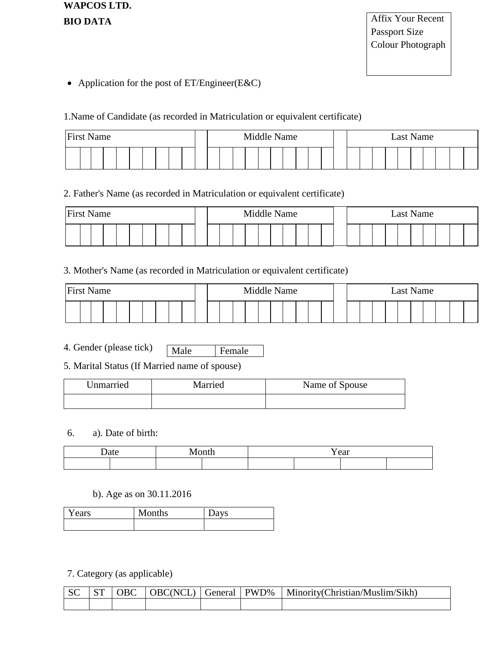**WAPCOS LTD. BIO DATA**

Affix Your Recent Passport Size Colour Photograph

• Application for the post of ET/Engineer(E&C)

1.Name of Candidate (as recorded in Matriculation or equivalent certificate)

| <b>First Name</b> |  |  |  |  |  | Middle Name |  |  |  |  |  | Last Name |  |  |  |  |  |  |  |  |  |  |  |  |  |
|-------------------|--|--|--|--|--|-------------|--|--|--|--|--|-----------|--|--|--|--|--|--|--|--|--|--|--|--|--|
|                   |  |  |  |  |  |             |  |  |  |  |  |           |  |  |  |  |  |  |  |  |  |  |  |  |  |

## 2. Father's Name (as recorded in Matriculation or equivalent certificate)

| <b>First Name</b> | Middle Name |  |  |  |  | Last Name |  |  |  |  |  |  |  |  |  |
|-------------------|-------------|--|--|--|--|-----------|--|--|--|--|--|--|--|--|--|
|                   |             |  |  |  |  |           |  |  |  |  |  |  |  |  |  |

## 3. Mother's Name (as recorded in Matriculation or equivalent certificate)

| <b>First Name</b> | Middle Name |  |  |  | Last Name |  |  |  |  |  |  |  |  |  |  |  |  |  |  |  |
|-------------------|-------------|--|--|--|-----------|--|--|--|--|--|--|--|--|--|--|--|--|--|--|--|
|                   |             |  |  |  |           |  |  |  |  |  |  |  |  |  |  |  |  |  |  |  |

4. Gender (please tick) Male Female

5. Marital Status (If Married name of spouse)

| Unmarried | Married | Name of Spouse |
|-----------|---------|----------------|
|           |         |                |

### 6. a). Date of birth:

| ∆1∩۱<br>. | Y ear |  |  |  |  |  |  |  |  |
|-----------|-------|--|--|--|--|--|--|--|--|
|           |       |  |  |  |  |  |  |  |  |

### b). Age as on 30.11.2016

| Years | Months | <b>VS</b><br>νa |
|-------|--------|-----------------|
|       |        |                 |

7. Category (as applicable)

|  |  |  | SC   ST   OBC   OBC(NCL)   General   PWD%   Minority(Christian/Muslim/Sikh) |
|--|--|--|-----------------------------------------------------------------------------|
|  |  |  |                                                                             |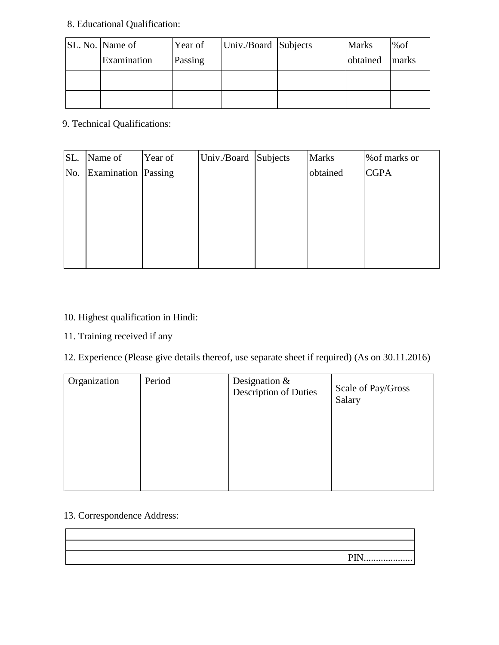# 8. Educational Qualification:

| SL. No. Name of | Year of | Univ./Board Subjects | <b>Marks</b> | %of   |
|-----------------|---------|----------------------|--------------|-------|
| Examination     | Passing |                      | obtained     | marks |
|                 |         |                      |              |       |
|                 |         |                      |              |       |

9. Technical Qualifications:

| SL. | Name of             | Year of | Univ./Board Subjects | <b>Marks</b> | % of marks or |
|-----|---------------------|---------|----------------------|--------------|---------------|
| No. | Examination Passing |         |                      | obtained     | <b>CGPA</b>   |
|     |                     |         |                      |              |               |
|     |                     |         |                      |              |               |
|     |                     |         |                      |              |               |
|     |                     |         |                      |              |               |
|     |                     |         |                      |              |               |
|     |                     |         |                      |              |               |

# 10. Highest qualification in Hindi:

11. Training received if any

12. Experience (Please give details thereof, use separate sheet if required) (As on 30.11.2016)

| Organization | Period | Designation $&$<br>Description of Duties | Scale of Pay/Gross<br>Salary |
|--------------|--------|------------------------------------------|------------------------------|
|              |        |                                          |                              |

## 13. Correspondence Address:

| PIN |
|-----|
|     |
|     |
|     |